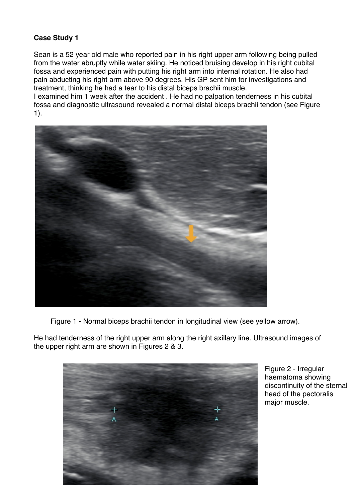## **Case Study 1**

Sean is a 52 year old male who reported pain in his right upper arm following being pulled from the water abruptly while water skiing. He noticed bruising develop in his right cubital fossa and experienced pain with putting his right arm into internal rotation. He also had pain abducting his right arm above 90 degrees. His GP sent him for investigations and treatment, thinking he had a tear to his distal biceps brachii muscle.

I examined him 1 week after the accident . He had no palpation tenderness in his cubital fossa and diagnostic ultrasound revealed a normal distal biceps brachii tendon (see Figure 1).



Figure 1 - Normal biceps brachii tendon in longitudinal view (see yellow arrow).

He had tenderness of the right upper arm along the right axillary line. Ultrasound images of the upper right arm are shown in Figures 2 & 3.



Figure 2 - Irregular haematoma showing discontinuity of the sternal head of the pectoralis major muscle.